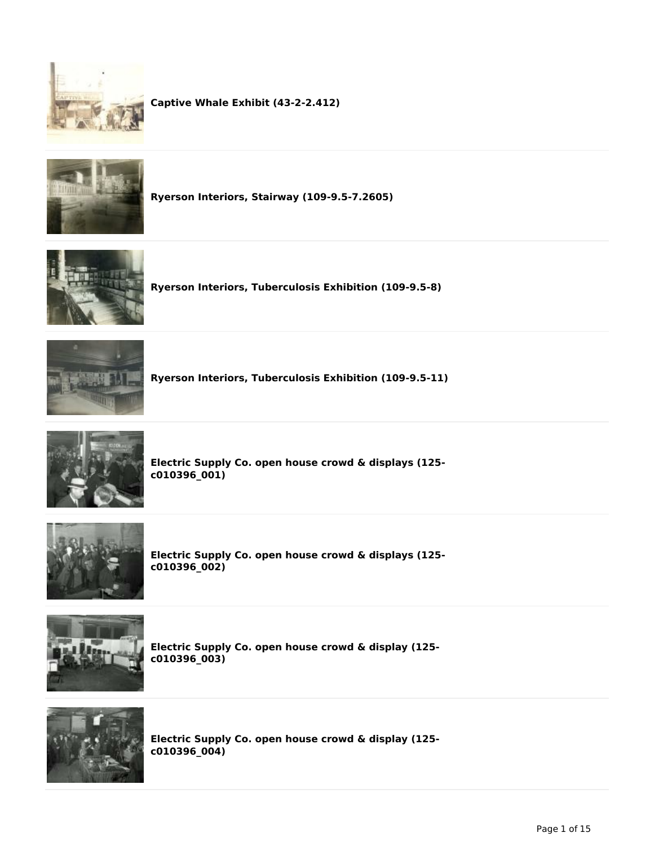



**Ryerson Interiors, Stairway (109-9.5-7.2605)**



**Ryerson Interiors, Tuberculosis Exhibition (109-9.5-8)**



**Ryerson Interiors, Tuberculosis Exhibition (109-9.5-11)**



**Electric Supply Co. open house crowd & displays (125 c010396\_001)**



**Electric Supply Co. open house crowd & displays (125 c010396\_002)**



**Electric Supply Co. open house crowd & display (125 c010396\_003)**



**Electric Supply Co. open house crowd & display (125 c010396\_004)**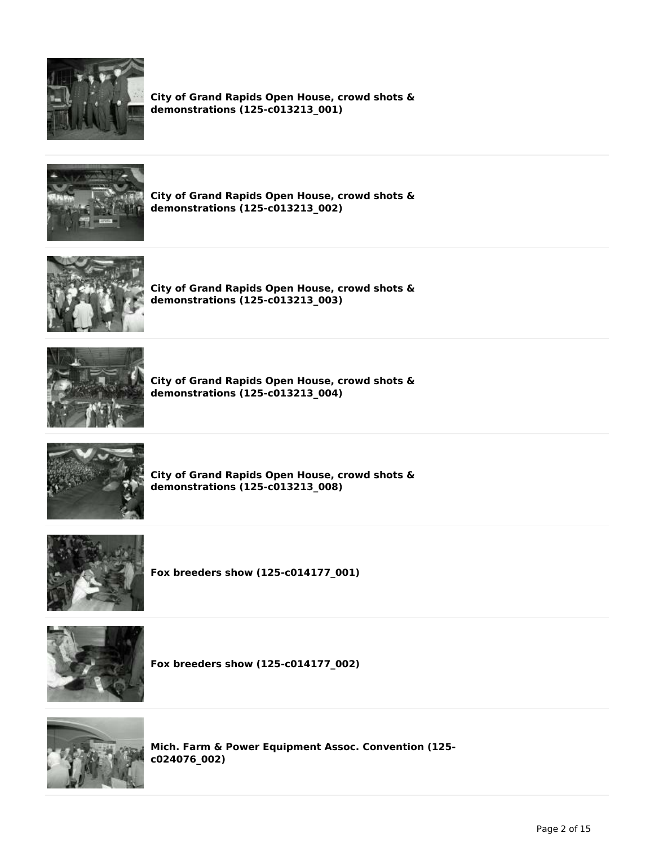

**City of Grand Rapids Open House, crowd shots & demonstrations (125-c013213\_001)**



**City of Grand Rapids Open House, crowd shots & demonstrations (125-c013213\_002)**



**City of Grand Rapids Open House, crowd shots & demonstrations (125-c013213\_003)**



**City of Grand Rapids Open House, crowd shots & demonstrations (125-c013213\_004)**



**City of Grand Rapids Open House, crowd shots & demonstrations (125-c013213\_008)**



**Fox breeders show (125-c014177\_001)**



**Fox breeders show (125-c014177\_002)**



**Mich. Farm & Power Equipment Assoc. Convention (125 c024076\_002)**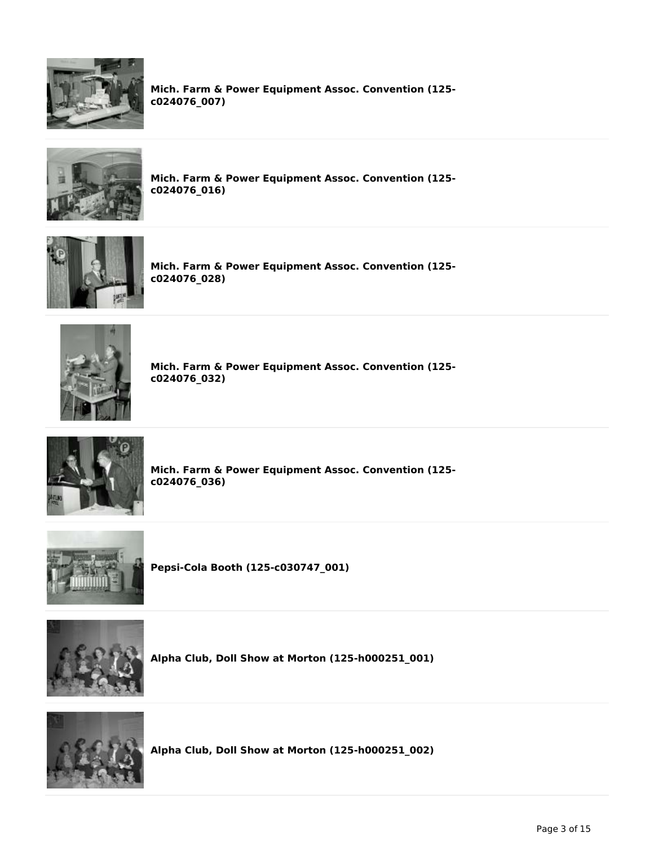

**Mich. Farm & Power Equipment Assoc. Convention (125 c024076\_007)**



**Mich. Farm & Power Equipment Assoc. Convention (125 c024076\_016)**



**Mich. Farm & Power Equipment Assoc. Convention (125 c024076\_028)**



**Mich. Farm & Power Equipment Assoc. Convention (125 c024076\_032)**



**Mich. Farm & Power Equipment Assoc. Convention (125 c024076\_036)**



**Pepsi-Cola Booth (125-c030747\_001)**



**Alpha Club, Doll Show at Morton (125-h000251\_001)**



**Alpha Club, Doll Show at Morton (125-h000251\_002)**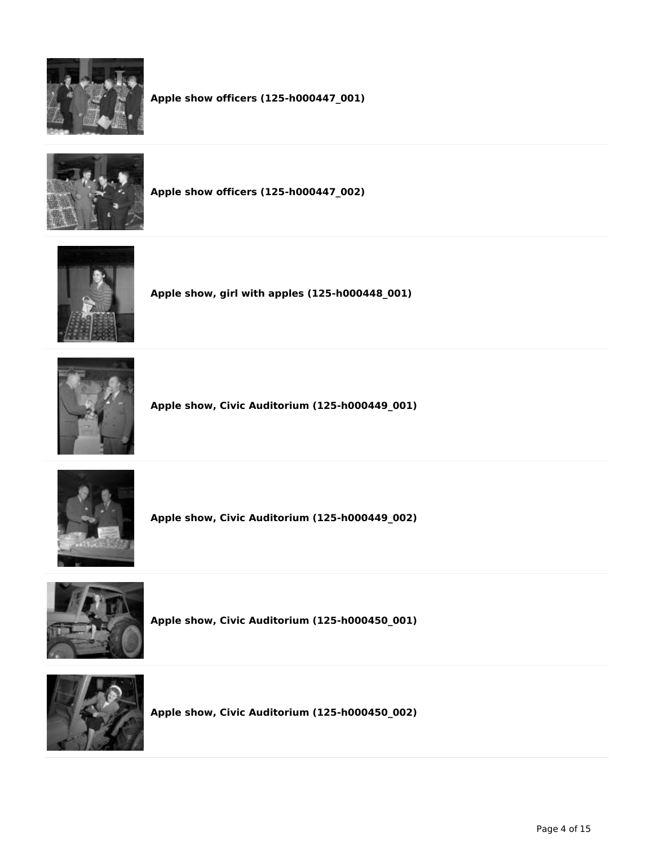

**Apple show officers (125-h000447\_001)**



**Apple show officers (125-h000447\_002)**



**Apple show, girl with apples (125-h000448\_001)**



**Apple show, Civic Auditorium (125-h000449\_001)**



**Apple show, Civic Auditorium (125-h000449\_002)**



**Apple show, Civic Auditorium (125-h000450\_001)**



**Apple show, Civic Auditorium (125-h000450\_002)**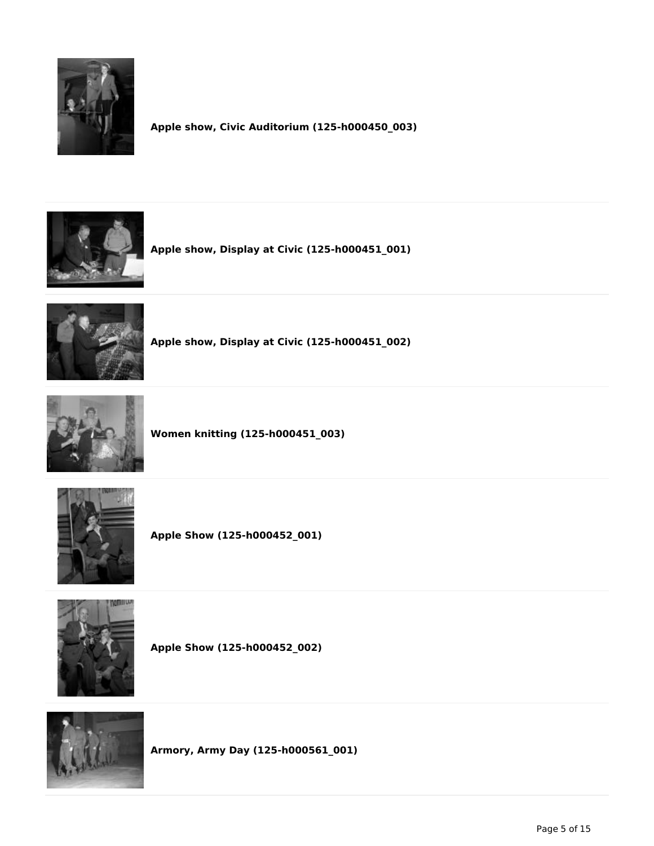

**Apple show, Civic Auditorium (125-h000450\_003)**



**Apple show, Display at Civic (125-h000451\_001)**



**Apple show, Display at Civic (125-h000451\_002)**



**Women knitting (125-h000451\_003)**



**Apple Show (125-h000452\_001)**



**Apple Show (125-h000452\_002)**



**Armory, Army Day (125-h000561\_001)**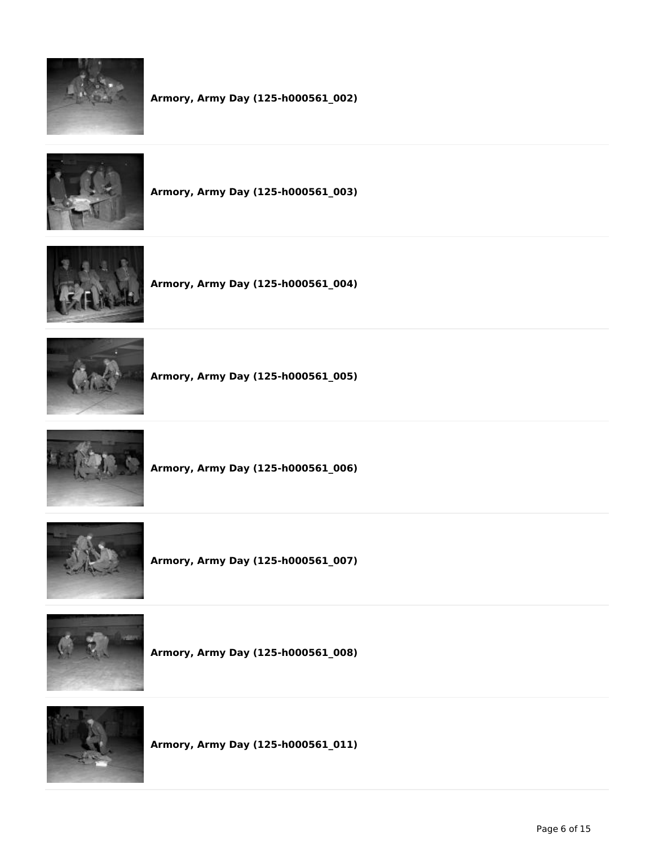

**Armory, Army Day (125-h000561\_002)**



**Armory, Army Day (125-h000561\_003)**



**Armory, Army Day (125-h000561\_004)**



**Armory, Army Day (125-h000561\_005)**



**Armory, Army Day (125-h000561\_006)**



**Armory, Army Day (125-h000561\_007)**



**Armory, Army Day (125-h000561\_008)**



**Armory, Army Day (125-h000561\_011)**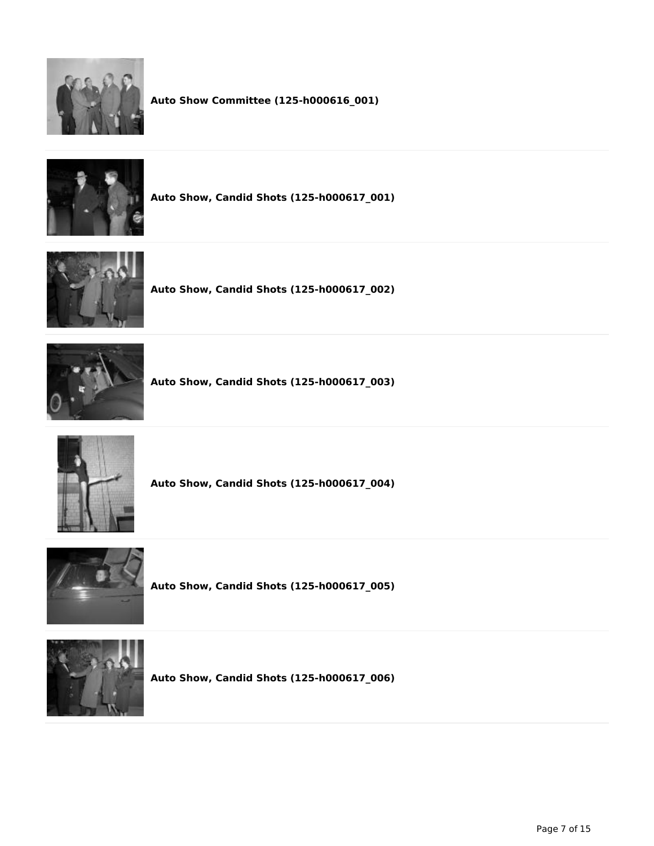



**Auto Show, Candid Shots (125-h000617\_001)**



**Auto Show, Candid Shots (125-h000617\_002)**



**Auto Show, Candid Shots (125-h000617\_003)**



**Auto Show, Candid Shots (125-h000617\_004)**



**Auto Show, Candid Shots (125-h000617\_005)**



**Auto Show, Candid Shots (125-h000617\_006)**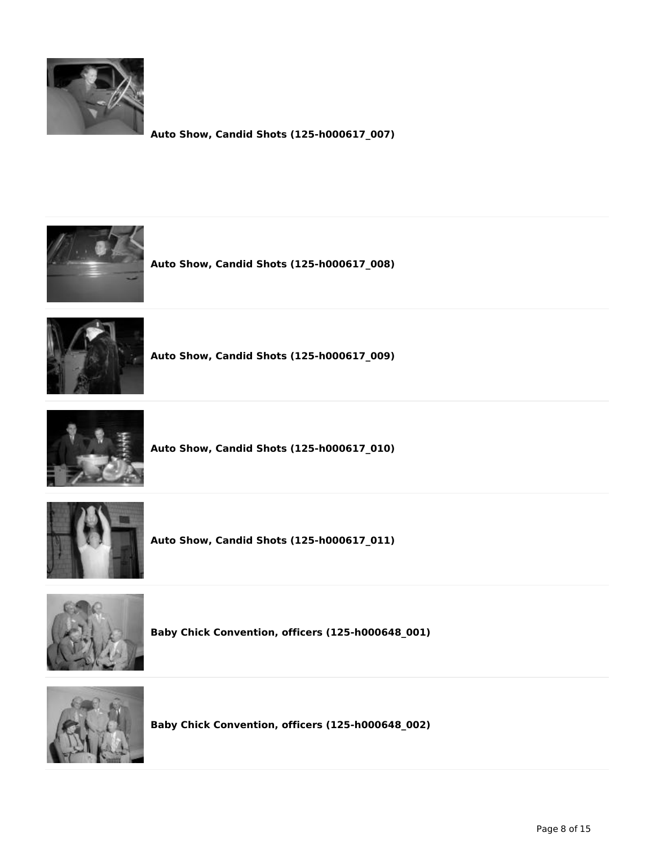

**Auto Show, Candid Shots (125-h000617\_007)**



**Auto Show, Candid Shots (125-h000617\_008)**



**Auto Show, Candid Shots (125-h000617\_009)**



**Auto Show, Candid Shots (125-h000617\_010)**



**Auto Show, Candid Shots (125-h000617\_011)**



**Baby Chick Convention, officers (125-h000648\_001)**



**Baby Chick Convention, officers (125-h000648\_002)**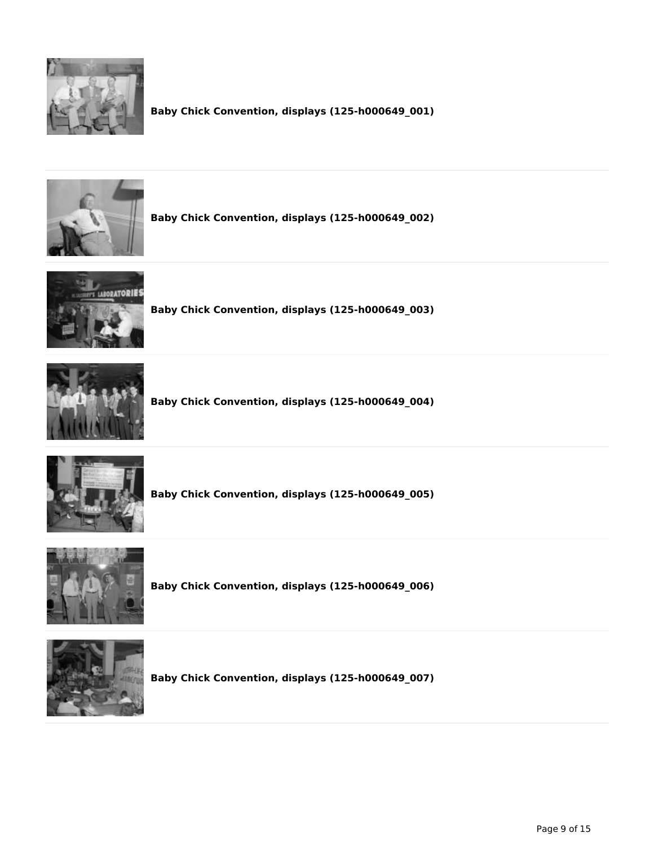

**Baby Chick Convention, displays (125-h000649\_001)**



**Baby Chick Convention, displays (125-h000649\_002)**



**Baby Chick Convention, displays (125-h000649\_003)**



**Baby Chick Convention, displays (125-h000649\_004)**



**Baby Chick Convention, displays (125-h000649\_005)**



**Baby Chick Convention, displays (125-h000649\_006)**



**Baby Chick Convention, displays (125-h000649\_007)**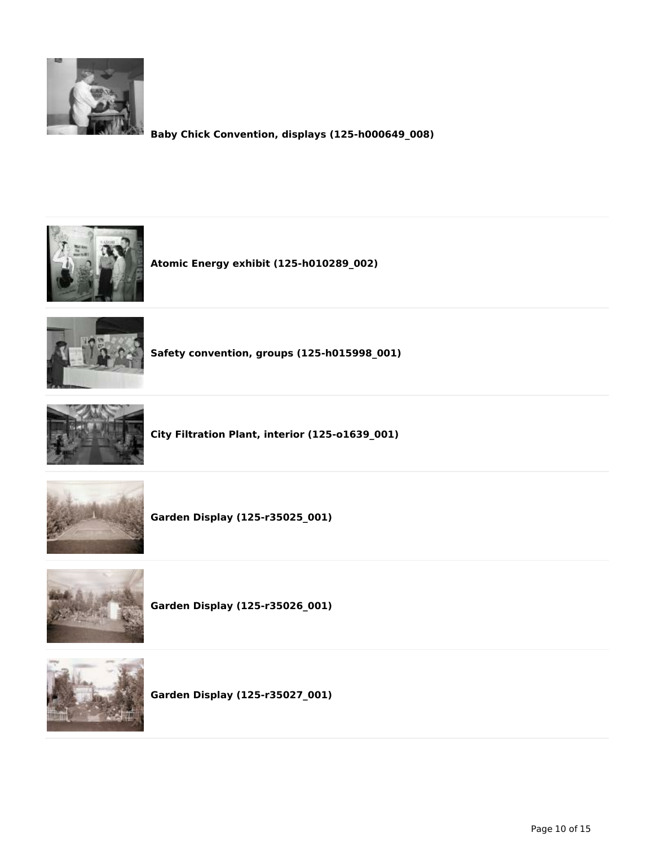

**Baby Chick Convention, displays (125-h000649\_008)**







**Safety convention, groups (125-h015998\_001)**



**City Filtration Plant, interior (125-o1639\_001)**



**Garden Display (125-r35025\_001)**



**Garden Display (125-r35026\_001)**



**Garden Display (125-r35027\_001)**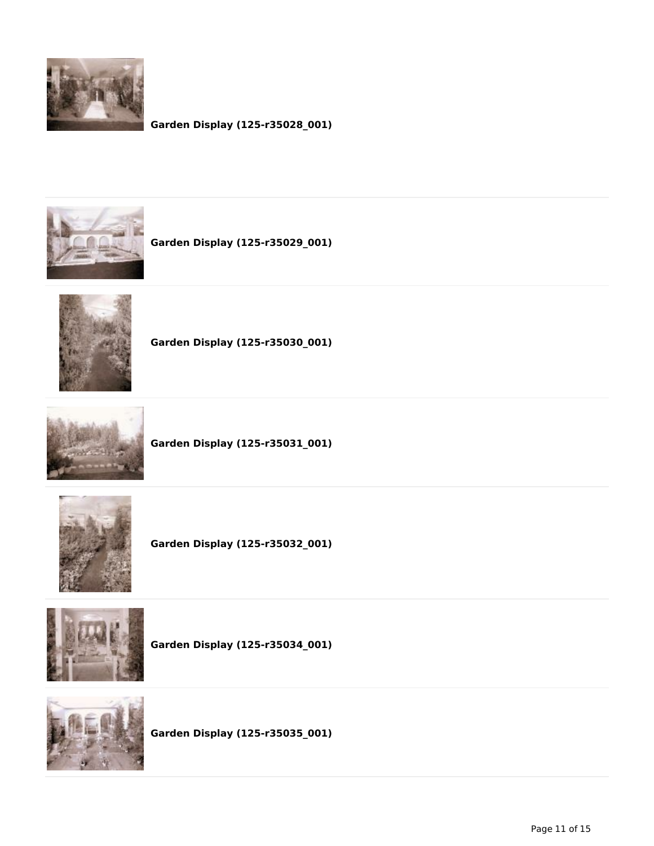

## **Garden Display (125-r35028\_001)**



**Garden Display (125-r35029\_001)**



**Garden Display (125-r35030\_001)**



**Garden Display (125-r35031\_001)**



**Garden Display (125-r35032\_001)**



**Garden Display (125-r35034\_001)**



**Garden Display (125-r35035\_001)**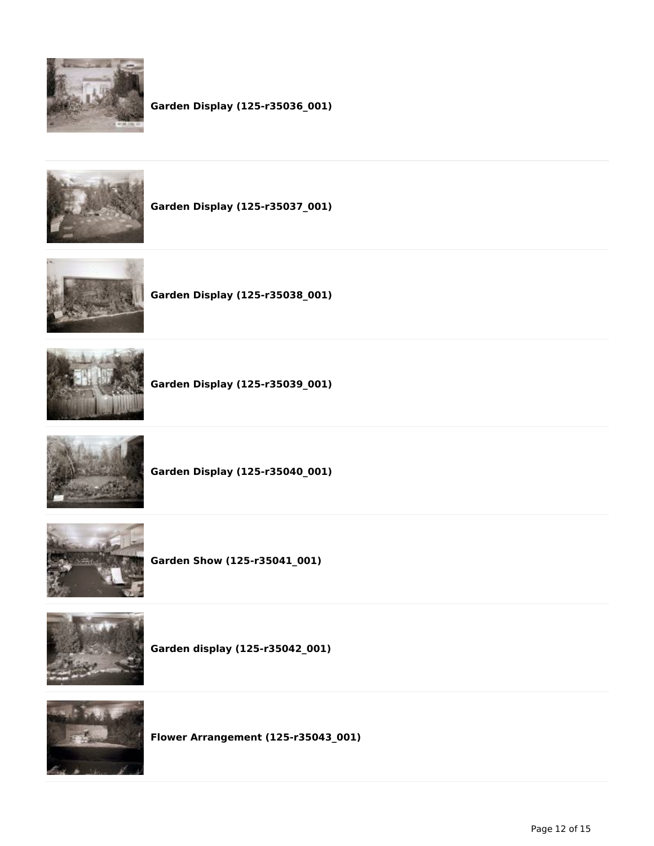

## **Garden Display (125-r35036\_001)**



**Garden Display (125-r35037\_001)**



**Garden Display (125-r35038\_001)**



**Garden Display (125-r35039\_001)**



**Garden Display (125-r35040\_001)**



**Garden Show (125-r35041\_001)**



**Garden display (125-r35042\_001)**



**Flower Arrangement (125-r35043\_001)**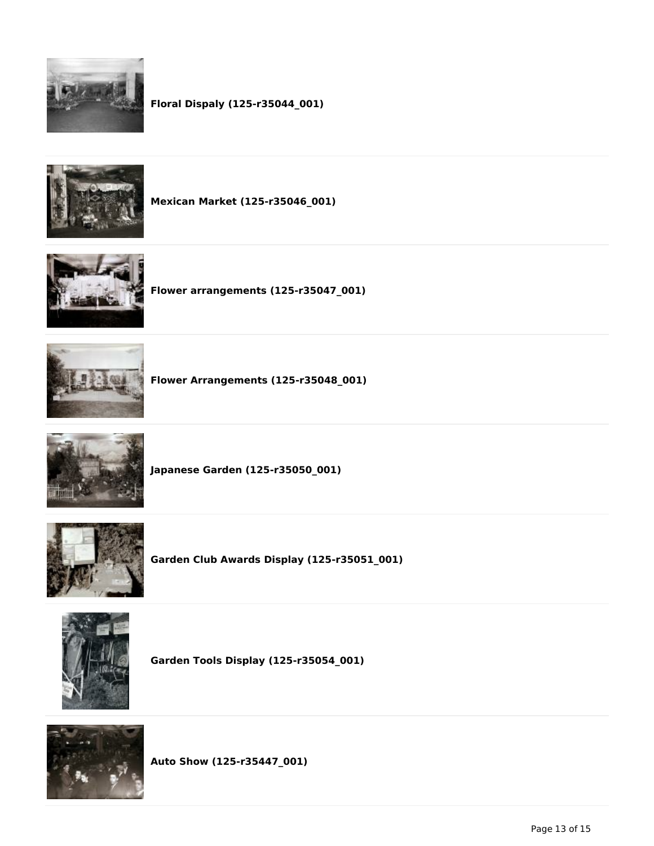

# **Floral Dispaly (125-r35044\_001)**



**Mexican Market (125-r35046\_001)**



**Flower arrangements (125-r35047\_001)**



**Flower Arrangements (125-r35048\_001)**



**Japanese Garden (125-r35050\_001)**



**Garden Club Awards Display (125-r35051\_001)**



**Garden Tools Display (125-r35054\_001)**



**Auto Show (125-r35447\_001)**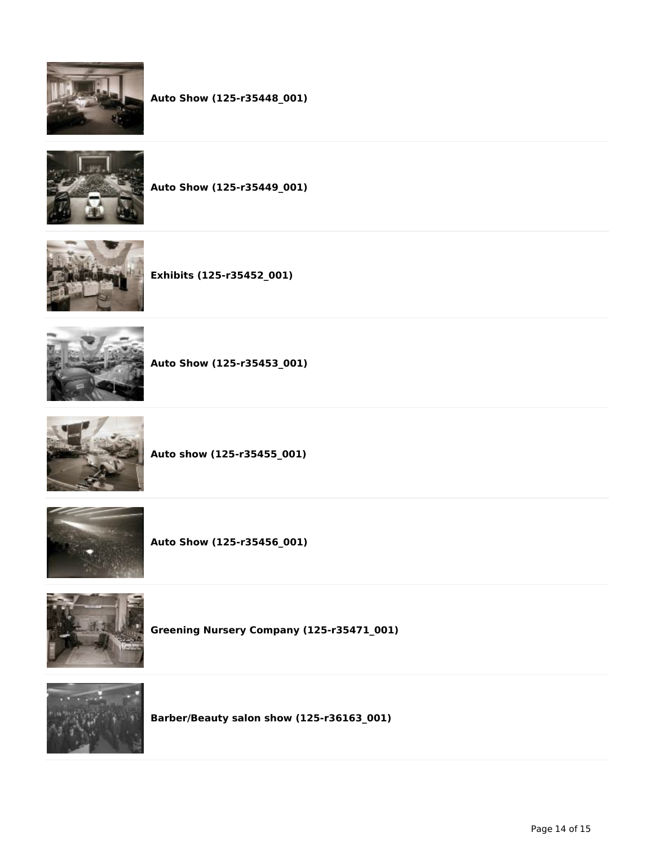



**Auto Show (125-r35449\_001)**







**Auto Show (125-r35453\_001)**



**Auto show (125-r35455\_001)**



**Auto Show (125-r35456\_001)**



**Greening Nursery Company (125-r35471\_001)**



**Barber/Beauty salon show (125-r36163\_001)**